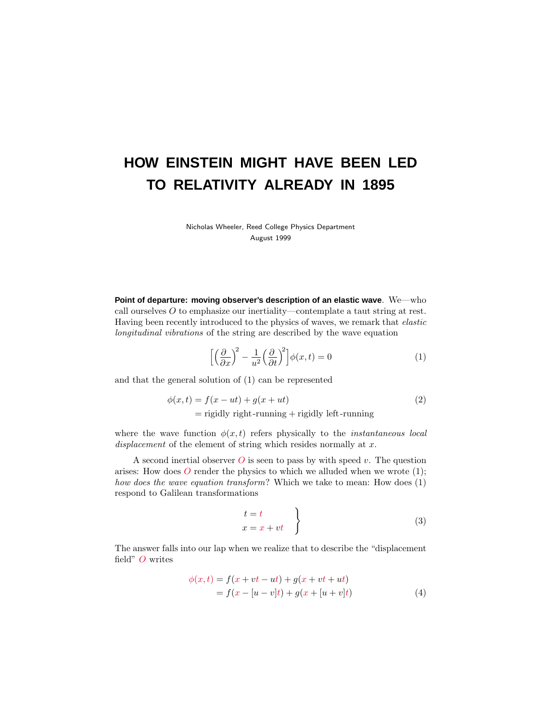# **HOW EINSTEIN MIGHT HAVE BEEN LED TO RELATIVITY ALREADY IN 1895**

Nicholas Wheeler, Reed College Physics Department August 1999

**Point of departure: moving observer's description of an elastic wave**. We—who call ourselves *O* to emphasize our inertiality—contemplate a taut string at rest. Having been recently introduced to the physics of waves, we remark that elastic longitudinal vibrations of the string are described by the wave equation

$$
\[ \left( \frac{\partial}{\partial x} \right)^2 - \frac{1}{u^2} \left( \frac{\partial}{\partial t} \right)^2 \]phi(x, t) = 0 \tag{1}
$$

and that the general solution of (1) can be represented

$$
\phi(x,t) = f(x - ut) + g(x + ut)
$$
  
= rigidly right-running + rigidly left-running (2)

where the wave function  $\phi(x, t)$  refers physically to the *instantaneous local* displacement of the element of string which resides normally at *x*.

A second inertial observer *O* is seen to pass by with speed *v*. The question arises: How does  $O$  render the physics to which we alluded when we wrote  $(1)$ ; how does the wave equation transform? Which we take to mean: How does  $(1)$ respond to Galilean transformations

$$
\begin{aligned}\n t &= t \\
 x &= x + vt\n \end{aligned}
$$
\n(3)

The answer falls into our lap when we realize that to describe the "displacement field" *O* writes

$$
\phi(x,t) = f(x + vt - ut) + g(x + vt + ut)
$$
  
=  $f(x - [u - v]t) + g(x + [u + v]t)$  (4)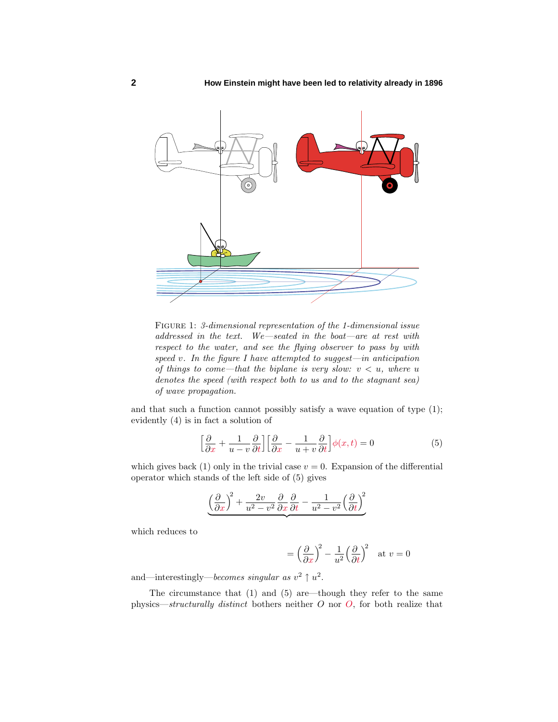

Figure 1: 3-dimensional representation of the 1-dimensional issue addressed in the text. We—seated in the boat—are at rest with respect to the water, and see the flying observer to pass by with speed  $v$ . In the figure I have attempted to suggest—in anticipation of things to come—that the biplane is very slow:  $v < u$ , where *u* denotes the speed (with respect both to us and to the stagnant sea) of wave propagation.

and that such a function cannot possibly satisfy a wave equation of type (1); evidently (4) is in fact a solution of

$$
\left[\frac{\partial}{\partial x} + \frac{1}{u - v} \frac{\partial}{\partial t}\right] \left[\frac{\partial}{\partial x} - \frac{1}{u + v} \frac{\partial}{\partial t}\right] \phi(x, t) = 0
$$
\n(5)

which gives back (1) only in the trivial case  $v = 0$ . Expansion of the differential operator which stands of the left side of (5) gives

$$
\underbrace{\left(\frac{\partial}{\partial x}\right)^2 + \frac{2v}{u^2 - v^2} \frac{\partial}{\partial x} \frac{\partial}{\partial t} - \frac{1}{u^2 - v^2} \left(\frac{\partial}{\partial t}\right)^2}{u^2 - v^2}
$$

which reduces to

$$
= \left(\frac{\partial}{\partial x}\right)^2 - \frac{1}{u^2} \left(\frac{\partial}{\partial t}\right)^2 \quad \text{at } v = 0
$$

and—interestingly—*becomes singular as*  $v^2 \uparrow u^2$ .

The circumstance that (1) and (5) are—though they refer to the same physics—structurally distinct bothers neither  $O$  nor  $O$ , for both realize that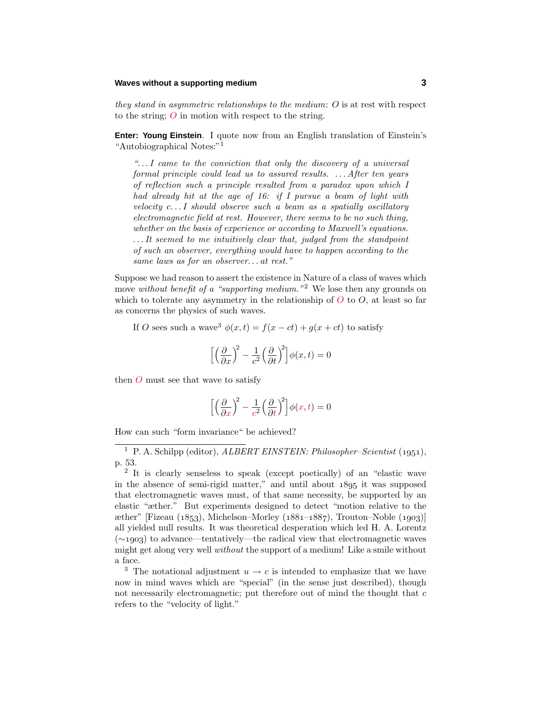### **Waves without a supporting medium 3**

they stand in asymmetric relationships to the medium: O is at rest with respect to the string; *O* in motion with respect to the string.

**Enter: Young Einstein**. I quote now from an English translation of Einstein's "Autobiographical Notes:"<sup>1</sup>

"...I came to the conviction that only the discovery of a universal formal principle could lead us to assured results. *...* After ten years of reflection such a principle resulted from a paradox upon which I had already hit at the age of 16: if I pursue a beam of light with velocity  $c \ldots I$  should observe such a beam as a spatially oscillatory electromagnetic field at rest. However, there seems to be no such thing, whether on the basis of experience or according to Maxwell's equations.  $\dots$  *It seemed to me intuitively clear that, judged from the standpoint* of such an observer, everything would have to happen according to the same laws as for an observer*...* at rest."

Suppose we had reason to assert the existence in Nature of a class of waves which move without benefit of a "supporting medium."<sup>2</sup> We lose then any grounds on which to tolerate any asymmetry in the relationship of  $O$  to  $O$ , at least so far as concerns the physics of such waves.

If *O* sees such a wave<sup>3</sup>  $\phi(x,t) = f(x-ct) + g(x+ct)$  to satisfy

$$
\[ \left( \frac{\partial}{\partial x} \right)^2 - \frac{1}{c^2} \left( \frac{\partial}{\partial t} \right)^2 \]phi(x, t) = 0
$$

then *O* must see that wave to satisfy

$$
\[ \left( \frac{\partial}{\partial x} \right)^2 - \frac{1}{c^2} \left( \frac{\partial}{\partial t} \right)^2 \]phi(x, t) = 0
$$

How can such "form invariance" be achieved?

<sup>1</sup> P. A. Schilpp (editor), *ALBERT EINSTEIN: Philosopher–Scientist* (1951), p. 53.

<sup>3</sup> The notational adjustment  $u \to c$  is intended to emphasize that we have now in mind waves which are "special" (in the sense just described), though not necessarily electromagnetic; put therefore out of mind the thought that *c* refers to the "velocity of light."

<sup>2</sup> It is clearly senseless to speak (except poetically) of an "elastic wave in the absence of semi-rigid matter," and until about 1895 it was supposed that electromagnetic waves must, of that same necessity, be supported by an elastic "æther." But experiments designed to detect "motion relative to the æther" [Fizeau (1853), Michelson–Morley (1881–1887), Trouton–Noble (1903)] all yielded null results. It was theoretical desperation which led H. A. Lorentz  $(\sim)$  to advance—tentatively—the radical view that electromagnetic waves might get along very well without the support of a medium! Like a smile without a face.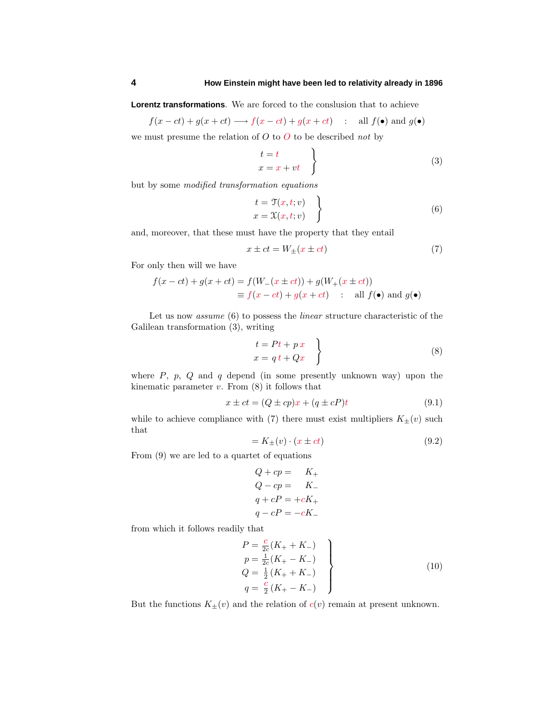**Lorentz transformations**. We are forced to the conslusion that to achieve

$$
f(x-ct) + g(x+ct) \longrightarrow f(x-ct) + g(x+ct)
$$
 : all  $f(\bullet)$  and  $g(\bullet)$ 

we must presume the relation of  $O$  to  $O$  to be described not by

$$
\begin{aligned}\n t &= t \\
 x &= x + vt\n \end{aligned}
$$
\n(3)

but by some modified transformation equations

$$
\begin{aligned}\nt &= \mathfrak{T}(x, t; v) \\
x &= \mathfrak{X}(x, t; v)\n\end{aligned}
$$
\n(6)

and, moreover, that these must have the property that they entail

$$
x \pm ct = W_{\pm}(x \pm ct) \tag{7}
$$

For only then will we have

$$
f(x - ct) + g(x + ct) = f(W_-(x \pm ct)) + g(W_+(x \pm ct))
$$
  

$$
\equiv f(x - ct) + g(x + ct) : \text{ all } f(\bullet) \text{ and } g(\bullet)
$$

Let us now *assume* (6) to possess the *linear* structure characteristic of the Galilean transformation (3), writing

$$
\begin{aligned}\n t &= Pt + px \\
 x &= q \, t + Qx\n \end{aligned}\n \tag{8}
$$

where *P*, *p*, *Q* and *q* depend (in some presently unknown way) upon the kinematic parameter  $v$ . From  $(8)$  it follows that

$$
x \pm ct = (Q \pm cp)x + (q \pm cP)t \tag{9.1}
$$

while to achieve compliance with (7) there must exist multipliers  $K_{\pm}(v)$  such that

$$
= K_{\pm}(v) \cdot (x \pm ct) \tag{9.2}
$$

From (9) we are led to a quartet of equations

$$
Q + cp = K_{+}
$$
  
\n
$$
Q - cp = K_{-}
$$
  
\n
$$
q + cP = +cK_{+}
$$
  
\n
$$
q - cP = -cK_{-}
$$

from which it follows readily that

$$
P = \frac{c}{2c}(K_{+} + K_{-})
$$
  
\n
$$
p = \frac{1}{2c}(K_{+} - K_{-})
$$
  
\n
$$
Q = \frac{1}{2}(K_{+} + K_{-})
$$
  
\n
$$
q = \frac{c}{2}(K_{+} - K_{-})
$$
\n(10)

But the functions  $K_{\pm}(v)$  and the relation of  $c(v)$  remain at present unknown.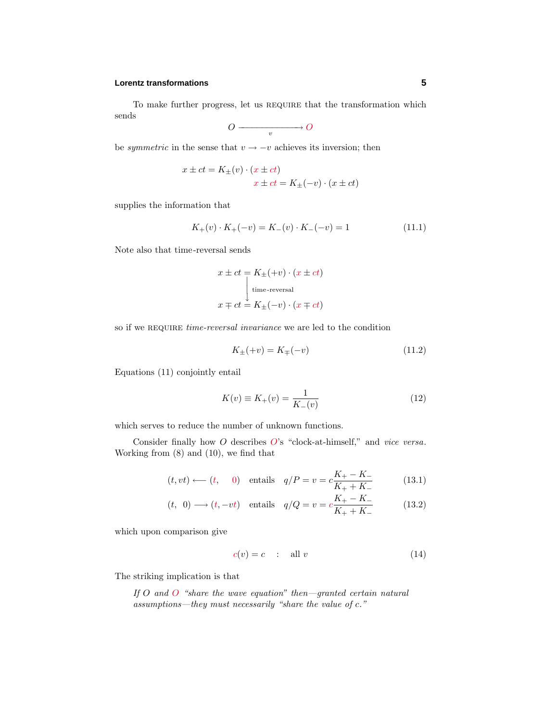# **Lorentz transformations 5**

To make further progress, let us require that the transformation which sends

$$
O \xrightarrow{v} O
$$

be *symmetric* in the sense that  $v \rightarrow -v$  achieves its inversion; then

$$
x \pm ct = K_{\pm}(v) \cdot (x \pm ct)
$$

$$
x \pm ct = K_{\pm}(-v) \cdot (x \pm ct)
$$

supplies the information that

$$
K_{+}(v) \cdot K_{+}(-v) = K_{-}(v) \cdot K_{-}(-v) = 1 \tag{11.1}
$$

Note also that time-reversal sends

$$
x \pm ct = K_{\pm}(+v) \cdot (x \pm ct)
$$
  
\n
$$
\downarrow
$$
 time-reversal  
\n
$$
x \mp ct = K_{\pm}(-v) \cdot (x \mp ct)
$$

so if we REQUIRE *time-reversal invariance* we are led to the condition

$$
K_{\pm}(+v) = K_{\mp}(-v) \tag{11.2}
$$

Equations (11) conjointly entail

$$
K(v) \equiv K_{+}(v) = \frac{1}{K_{-}(v)}
$$
\n(12)

which serves to reduce the number of unknown functions.

Consider finally how *O* describes *O*'s "clock-at-himself," and *vice versa*. Working from (8) and (10), we find that

$$
(t, vt) \longleftarrow (t, 0)
$$
 entails  $q/P = v = c \frac{K_+ - K_-}{K_+ + K_-}$  (13.1)

$$
(t, 0) \longrightarrow (t, -vt)
$$
 entails  $q/Q = v = c \frac{K_+ - K_-}{K_+ + K_-}$  (13.2)

which upon comparison give

$$
c(v) = c \qquad \text{all } v \tag{14}
$$

The striking implication is that

If *O* and *O* "share the wave equation" then—granted certain natural assumptions—they must necessarily "share the value of  $c$ ."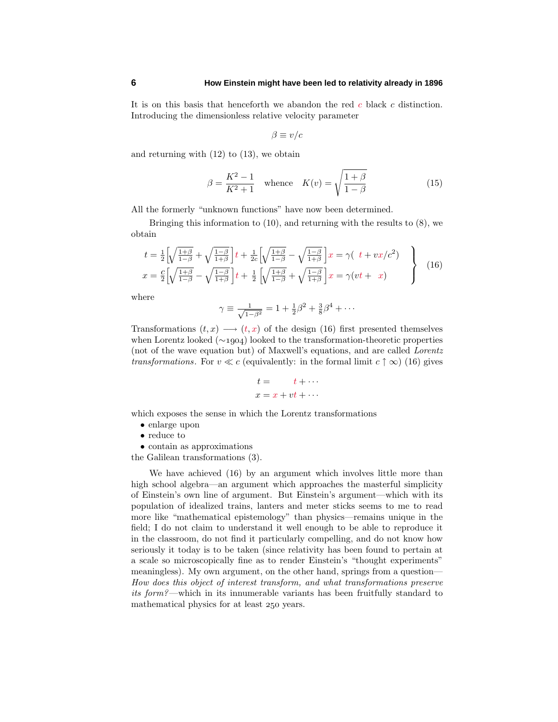It is on this basis that henceforth we abandon the red *c* black *c* distinction. Introducing the dimensionless relative velocity parameter

$$
\beta \equiv v/c
$$

and returning with  $(12)$  to  $(13)$ , we obtain

$$
\beta = \frac{K^2 - 1}{K^2 + 1} \quad \text{whence} \quad K(v) = \sqrt{\frac{1 + \beta}{1 - \beta}} \tag{15}
$$

All the formerly "unknown functions" have now been determined.

Bringing this information to (10), and returning with the results to (8), we obtain

$$
t = \frac{1}{2} \left[ \sqrt{\frac{1+\beta}{1-\beta}} + \sqrt{\frac{1-\beta}{1+\beta}} \right] t + \frac{1}{2c} \left[ \sqrt{\frac{1+\beta}{1-\beta}} - \sqrt{\frac{1-\beta}{1+\beta}} \right] x = \gamma \left( t + vx/c^2 \right)
$$
  

$$
x = \frac{c}{2} \left[ \sqrt{\frac{1+\beta}{1-\beta}} - \sqrt{\frac{1-\beta}{1+\beta}} \right] t + \frac{1}{2} \left[ \sqrt{\frac{1+\beta}{1-\beta}} + \sqrt{\frac{1-\beta}{1+\beta}} \right] x = \gamma \left( vt + x \right)
$$
 (16)

where

$$
\gamma \equiv \frac{1}{\sqrt{1 - \beta^2}} = 1 + \frac{1}{2}\beta^2 + \frac{3}{8}\beta^4 + \cdots
$$

Transformations  $(t, x) \longrightarrow (t, x)$  of the design (16) first presented themselves when Lorentz looked (∼1904) looked to the transformation-theoretic properties (not of the wave equation but) of Maxwell's equations, and are called Lorentz transformations. For  $v \ll c$  (equivalently: in the formal limit  $c \uparrow \infty$ ) (16) gives

$$
t = t + \cdots
$$
  

$$
x = x + vt + \cdots
$$

which exposes the sense in which the Lorentz transformations

- enlarge upon
- reduce to
- contain as approximations

the Galilean transformations (3).

We have achieved (16) by an argument which involves little more than high school algebra—an argument which approaches the masterful simplicity of Einstein's own line of argument. But Einstein's argument—which with its population of idealized trains, lanters and meter sticks seems to me to read more like "mathematical epistemology" than physics—remains unique in the field; I do not claim to understand it well enough to be able to reproduce it in the classroom, do not find it particularly compelling, and do not know how seriously it today is to be taken (since relativity has been found to pertain at a scale so microscopically fine as to render Einstein's "thought experiments" meaningless). My own argument, on the other hand, springs from a question— How does this object of interest transform, and what transformations preserve its form?—which in its innumerable variants has been fruitfully standard to mathematical physics for at least 250 years.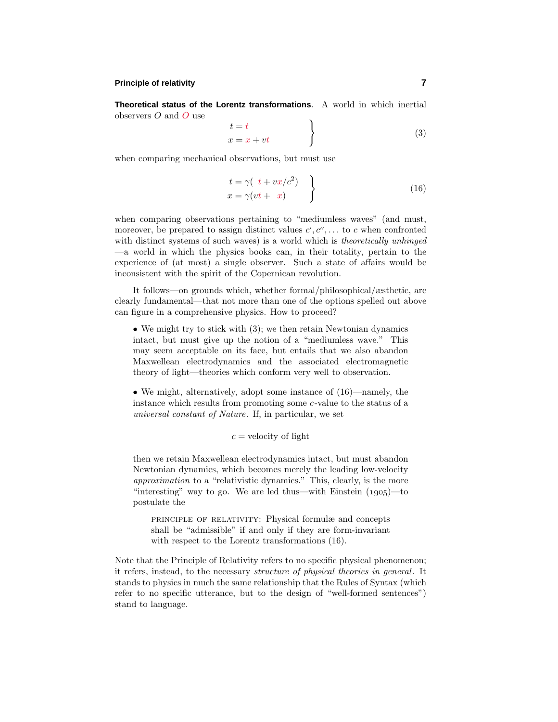# **Principle of relativity 7**

**Theoretical status of the Lorentz transformations**. A world in which inertial observers *O* and *O* use

$$
\begin{aligned}\n t &= t \\
 x &= x + vt\n \end{aligned}
$$
\n(3)

when comparing mechanical observations, but must use

$$
\begin{aligned}\nt &= \gamma (t + vx/c^2) \\
x &= \gamma (vt + x)\n\end{aligned}
$$
\n(16)

when comparing observations pertaining to "mediumless waves" (and must, moreover, be prepared to assign distinct values  $c', c'', \ldots$  to  $c$  when confronted with distinct systems of such waves) is a world which is theoretically unhinged —a world in which the physics books can, in their totality, pertain to the experience of (at most) a single observer. Such a state of affairs would be inconsistent with the spirit of the Copernican revolution.

It follows—on grounds which, whether formal/philosophical/æsthetic, are clearly fundamental—that not more than one of the options spelled out above can figure in a comprehensive physics. How to proceed?

• We might try to stick with  $(3)$ ; we then retain Newtonian dynamics intact, but must give up the notion of a "mediumless wave." This may seem acceptable on its face, but entails that we also abandon Maxwellean electrodynamics and the associated electromagnetic theory of light—theories which conform very well to observation.

• We might, alternatively, adopt some instance of (16)—namely, the instance which results from promoting some *c*-value to the status of a universal constant of Nature. If, in particular, we set

#### $c =$  velocity of light

then we retain Maxwellean electrodynamics intact, but must abandon Newtonian dynamics, which becomes merely the leading low-velocity approximation to a "relativistic dynamics." This, clearly, is the more "interesting" way to go. We are led thus—with Einstein  $(1905)$ —to postulate the

principle of relativity: Physical formulæ and concepts shall be "admissible" if and only if they are form-invariant with respect to the Lorentz transformations (16).

Note that the Principle of Relativity refers to no specific physical phenomenon; it refers, instead, to the necessary structure of physical theories in general. It stands to physics in much the same relationship that the Rules of Syntax (which refer to no specific utterance, but to the design of "well-formed sentences") stand to language.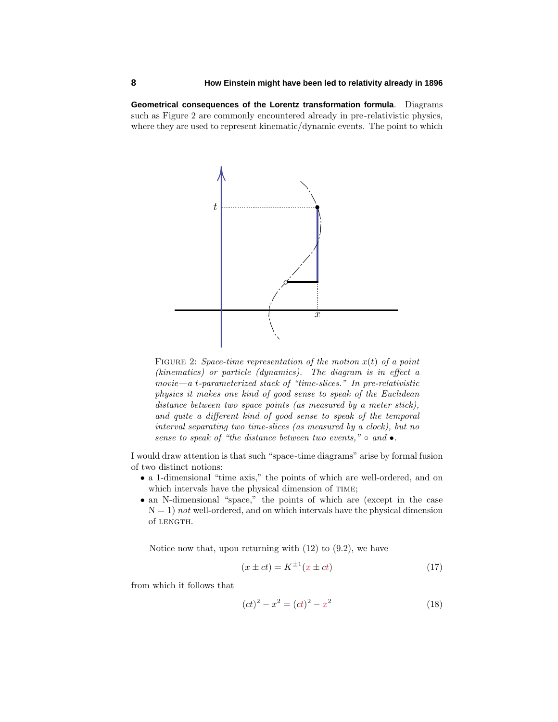**Geometrical consequences of the Lorentz transformation formula**. Diagrams such as Figure 2 are commonly encountered already in pre-relativistic physics, where they are used to represent kinematic/dynamic events. The point to which



FIGURE 2: Space-time representation of the motion  $x(t)$  of a point (kinematics) or particle (dynamics). The diagram is in effect a movie—a *t*-parameterized stack of "time-slices." In pre-relativistic physics it makes one kind of good sense to speak of the Euclidean distance between two space points (as measured by a meter stick), and quite a different kind of good sense to speak of the temporal interval separating two time-slices (as measured by a clock), but no sense to speak of "the distance between two events,"  $\circ$  and  $\bullet$ .

I would draw attention is that such "space-time diagrams" arise by formal fusion of two distinct notions:

- a 1-dimensional "time axis," the points of which are well-ordered, and on which intervals have the physical dimension of TIME;
- an N-dimensional "space," the points of which are (except in the case  $N = 1$ ) not well-ordered, and on which intervals have the physical dimension of LENGTH.

Notice now that, upon returning with  $(12)$  to  $(9.2)$ , we have

$$
(x \pm ct) = K^{\pm 1}(x \pm ct)
$$
\n<sup>(17)</sup>

from which it follows that

$$
(ct)^2 - x^2 = (ct)^2 - x^2 \tag{18}
$$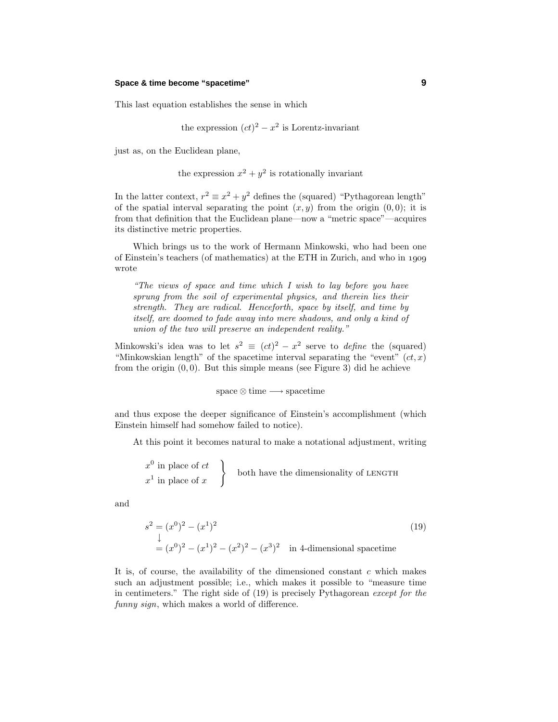#### **Space & time become "spacetime" 9**

This last equation establishes the sense in which

the expression  $(ct)^2 - x^2$  is Lorentz-invariant

just as, on the Euclidean plane,

the expression  $x^2 + y^2$  is rotationally invariant

In the latter context,  $r^2 \equiv x^2 + y^2$  defines the (squared) "Pythagorean length" of the spatial interval separating the point  $(x, y)$  from the origin  $(0, 0)$ ; it is from that definition that the Euclidean plane—now a "metric space"—acquires its distinctive metric properties.

Which brings us to the work of Hermann Minkowski, who had been one of Einstein's teachers (of mathematics) at the ETH in Zurich, and who in wrote

"The views of space and time which  $I$  wish to lay before you have sprung from the soil of experimental physics, and therein lies their strength. They are radical. Henceforth, space by itself, and time by itself, are doomed to fade away into mere shadows, and only a kind of union of the two will preserve an independent reality."

Minkowski's idea was to let  $s^2 \equiv (ct)^2 - x^2$  serve to *define* the (squared) "Minkowskian length" of the spacetime interval separating the "event" (*ct, x*) from the origin (0*,* 0). But this simple means (see Figure 3) did he achieve

 $space \otimes time \longrightarrow spacetime$ 

and thus expose the deeper significance of Einstein's accomplishment (which Einstein himself had somehow failed to notice).

At this point it becomes natural to make a notational adjustment, writing

$$
\begin{array}{ccc} x^0 \text{ in place of } ct \\ x^1 \text{ in place of } x \end{array} \Bigg\} \quad \text{ both have the dimensionality of LENGTH}
$$

and

$$
s2 = (x0)2 - (x1)2
$$
  
\n
$$
\downarrow
$$
  
\n
$$
= (x0)2 - (x1)2 - (x2)2 - (x3)2 in 4-dimensional spacetime
$$
\n(19)

It is, of course, the availability of the dimensioned constant *c* which makes such an adjustment possible; i.e., which makes it possible to "measure time in centimeters." The right side of (19) is precisely Pythagorean except for the funny sign, which makes a world of difference.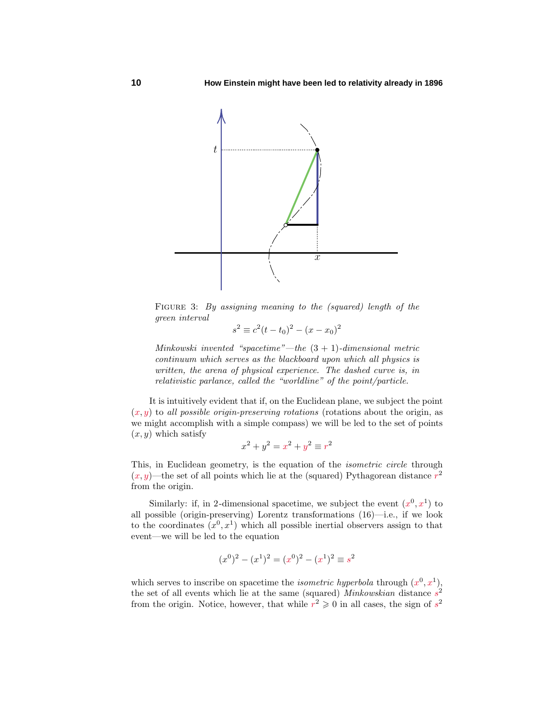

FIGURE 3: By assigning meaning to the (squared) length of the green interval

 $s^2 \equiv c^2(t - t_0)^2 - (x - x_0)^2$ 

Minkowski invented "spacetime"—the  $(3 + 1)$ -dimensional metric continuum which serves as the blackboard upon which all physics is written, the arena of physical experience. The dashed curve is, in relativistic parlance, called the "worldline" of the point/particle.

It is intuitively evident that if, on the Euclidean plane, we subject the point  $(x, y)$  to all possible origin-preserving rotations (rotations about the origin, as we might accomplish with a simple compass) we will be led to the set of points (*x, y*) which satisfy

$$
x^2 + y^2 = x^2 + y^2 \equiv r^2
$$

This, in Euclidean geometry, is the equation of the *isometric circle* through  $(x, y)$ —the set of all points which lie at the (squared) Pythagorean distance  $r^2$ from the origin.

Similarly: if, in 2-dimensional spacetime, we subject the event  $(x^0, x^1)$  to all possible (origin-preserving) Lorentz transformations (16)—i.e., if we look to the coordinates  $(x^0, x^1)$  which all possible inertial observers assign to that event—we will be led to the equation

$$
(x^{0})^{2} - (x^{1})^{2} = (x^{0})^{2} - (x^{1})^{2} \equiv s^{2}
$$

which serves to inscribe on spacetime the *isometric hyperbola* through  $(x^0, x^1)$ , the set of all events which lie at the same (squared) *Minkowskian* distance  $s^2$ from the origin. Notice, however, that while  $r^2 \geqslant 0$  in all cases, the sign of  $s^2$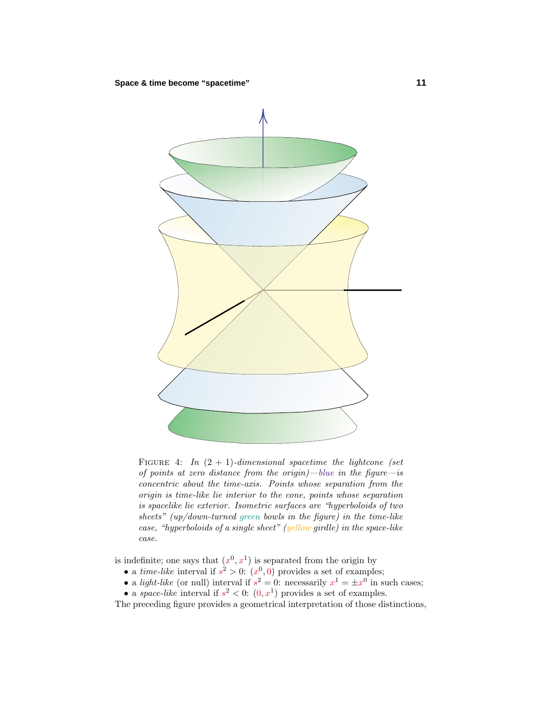

FIGURE 4: In  $(2 + 1)$ -dimensional spacetime the lightcone (set of points at zero distance from the origin)—blue in the figure—is concentric about the time-axis. Points whose separation from the origin is time-like lie interior to the cone, points whose separation is spacelike lie exterior. Isometric surfaces are "hyperboloids of two sheets" (up/down-turned green bowls in the figure) in the time-like case, "hyperboloids of a single sheet" (yellow girdle) in the space-like case.

is indefinite; one says that  $(x^0, x^1)$  is separated from the origin by

- a *time-like* interval if  $s^2 > 0$ :  $(x^0, 0)$  provides a set of examples;
- a *light-like* (or null) interval if  $s^2 = 0$ : necessarily  $x^1 = \pm x^0$  in such cases;
- a *space-like* interval if  $s^2 < 0$ :  $(0, x^1)$  provides a set of examples.

The preceding figure provides a geometrical interpretation of those distinctions,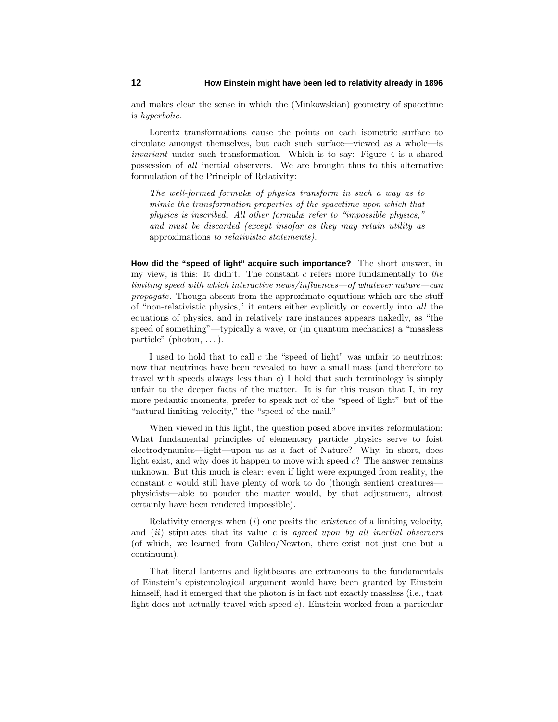and makes clear the sense in which the (Minkowskian) geometry of spacetime is hyperbolic.

Lorentz transformations cause the points on each isometric surface to circulate amongst themselves, but each such surface—viewed as a whole—is invariant under such transformation. Which is to say: Figure 4 is a shared possession of all inertial observers. We are brought thus to this alternative formulation of the Principle of Relativity:

The well-formed formulæ of physics transform in such a way as to mimic the transformation properties of the spacetime upon which that physics is inscribed. All other formulæ refer to "impossible physics," and must be discarded (except insofar as they may retain utility as approximations to relativistic statements).

**How did the "speed of light" acquire such importance?** The short answer, in my view, is this: It didn't. The constant *c* refers more fundamentally to the limiting speed with which interactive news/influences—of whatever nature—can propagate. Though absent from the approximate equations which are the stuff of "non-relativistic physics," it enters either explicitly or covertly into all the equations of physics, and in relatively rare instances appears nakedly, as "the speed of something"—typically a wave, or (in quantum mechanics) a "massless particle" (photon, *...*).

I used to hold that to call *c* the "speed of light" was unfair to neutrinos; now that neutrinos have been revealed to have a small mass (and therefore to travel with speeds always less than *c*) I hold that such terminology is simply unfair to the deeper facts of the matter. It is for this reason that I, in my more pedantic moments, prefer to speak not of the "speed of light" but of the "natural limiting velocity," the "speed of the mail."

When viewed in this light, the question posed above invites reformulation: What fundamental principles of elementary particle physics serve to foist electrodynamics—light—upon us as a fact of Nature? Why, in short, does light exist, and why does it happen to move with speed *c*? The answer remains unknown. But this much is clear: even if light were expunged from reality, the constant *c* would still have plenty of work to do (though sentient creatures physicists—able to ponder the matter would, by that adjustment, almost certainly have been rendered impossible).

Relativity emerges when  $(i)$  one posits the *existence* of a limiting velocity, and  $(ii)$  stipulates that its value  $c$  is agreed upon by all inertial observers (of which, we learned from Galileo/Newton, there exist not just one but a continuum).

That literal lanterns and lightbeams are extraneous to the fundamentals of Einstein's epistemological argument would have been granted by Einstein himself, had it emerged that the photon is in fact not exactly massless (i.e., that light does not actually travel with speed *c*). Einstein worked from a particular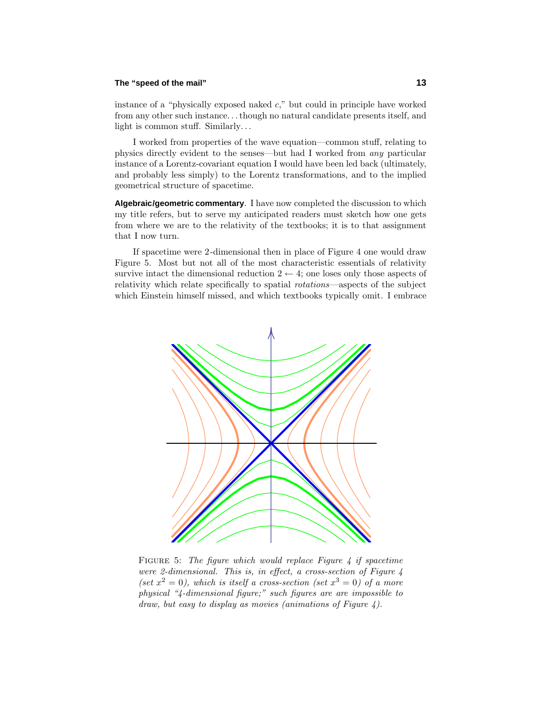#### **The "speed of the mail" 13**

instance of a "physically exposed naked *c*," but could in principle have worked from any other such instance*...*though no natural candidate presents itself, and light is common stuff. Similarly*...*

I worked from properties of the wave equation—common stuff, relating to physics directly evident to the senses—but had I worked from any particular instance of a Lorentz-covariant equation I would have been led back (ultimately, and probably less simply) to the Lorentz transformations, and to the implied geometrical structure of spacetime.

**Algebraic/geometric commentary**. I have now completed the discussion to which my title refers, but to serve my anticipated readers must sketch how one gets from where we are to the relativity of the textbooks; it is to that assignment that I now turn.

If spacetime were 2-dimensional then in place of Figure 4 one would draw Figure 5. Most but not all of the most characteristic essentials of relativity survive intact the dimensional reduction  $2 \leftarrow 4$ ; one loses only those aspects of relativity which relate specifically to spatial rotations—aspects of the subject which Einstein himself missed, and which textbooks typically omit. I embrace



FIGURE 5: The figure which would replace Figure  $4$  if spacetime were 2-dimensional. This is, in effect, a cross-section of Figure  $\lambda$ (set  $x^2 = 0$ ), which is itself a cross-section (set  $x^3 = 0$ ) of a more physical "4-dimensional figure;" such figures are are impossible to draw, but easy to display as movies (animations of Figure  $\ddot{4}$ ).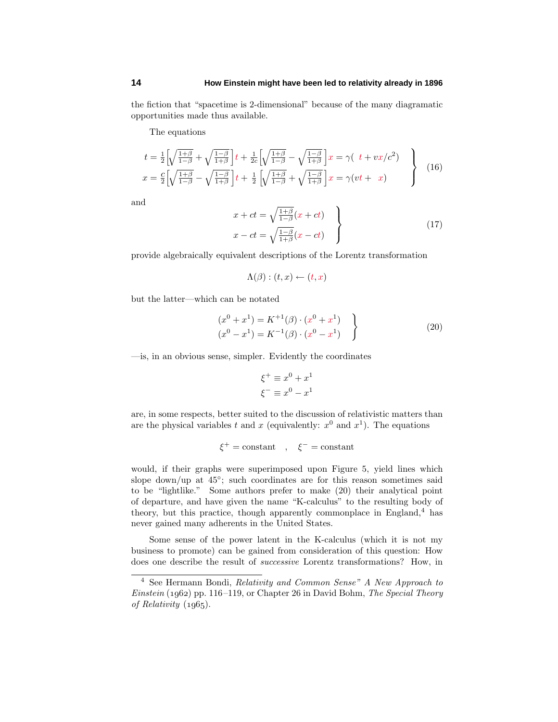the fiction that "spacetime is 2-dimensional" because of the many diagramatic opportunities made thus available.

The equations

$$
t = \frac{1}{2} \left[ \sqrt{\frac{1+\beta}{1-\beta}} + \sqrt{\frac{1-\beta}{1+\beta}} \right] t + \frac{1}{2c} \left[ \sqrt{\frac{1+\beta}{1-\beta}} - \sqrt{\frac{1-\beta}{1+\beta}} \right] x = \gamma \left( t + vx/c^2 \right)
$$
  

$$
x = \frac{c}{2} \left[ \sqrt{\frac{1+\beta}{1-\beta}} - \sqrt{\frac{1-\beta}{1+\beta}} \right] t + \frac{1}{2} \left[ \sqrt{\frac{1+\beta}{1-\beta}} + \sqrt{\frac{1-\beta}{1+\beta}} \right] x = \gamma \left( vt + x \right)
$$
 (16)

and

$$
x + ct = \sqrt{\frac{1+\beta}{1-\beta}}(x+ct)
$$
  

$$
x - ct = \sqrt{\frac{1-\beta}{1+\beta}}(x-ct)
$$
 (17)

provide algebraically equivalent descriptions of the Lorentz transformation

$$
\Lambda(\beta):(t,x)\leftarrow (t,x)
$$

but the latter—which can be notated

$$
(x^{0} + x^{1}) = K^{+1}(\beta) \cdot (x^{0} + x^{1})
$$
  
\n
$$
(x^{0} - x^{1}) = K^{-1}(\beta) \cdot (x^{0} - x^{1})
$$
\n(20)

—is, in an obvious sense, simpler. Evidently the coordinates

$$
\xi^+ \equiv x^0 + x^1
$$

$$
\xi^- \equiv x^0 - x^1
$$

are, in some respects, better suited to the discussion of relativistic matters than are the physical variables *t* and *x* (equivalently:  $x^0$  and  $x^1$ ). The equations

$$
\xi^+ = \text{constant}
$$
,  $\xi^- = \text{constant}$ 

would, if their graphs were superimposed upon Figure 5, yield lines which slope down/up at  $45^{\circ}$ ; such coordinates are for this reason sometimes said to be "lightlike." Some authors prefer to make (20) their analytical point of departure, and have given the name "K-calculus" to the resulting body of theory, but this practice, though apparently commonplace in England, $4$  has never gained many adherents in the United States.

Some sense of the power latent in the K-calculus (which it is not my business to promote) can be gained from consideration of this question: How does one describe the result of successive Lorentz transformations? How, in

<sup>&</sup>lt;sup>4</sup> See Hermann Bondi, *Relativity and Common Sense" A New Approach to*  $Einstein (1962)$  pp. 116–119, or Chapter 26 in David Bohm, The Special Theory of Relativity  $(1965)$ .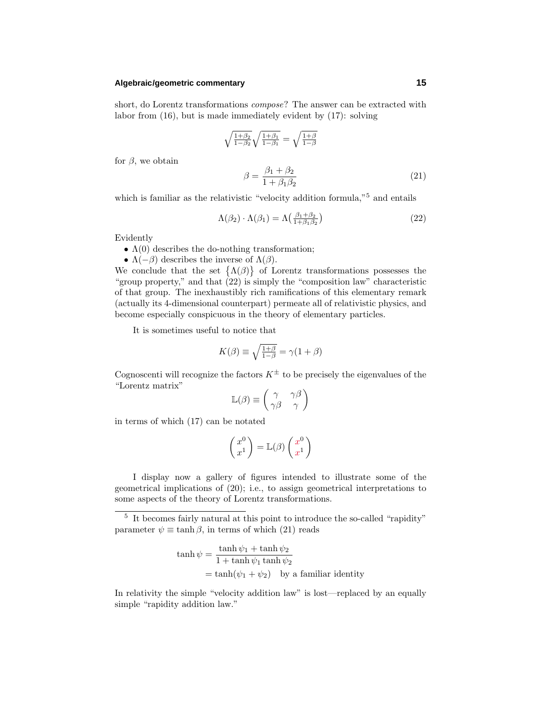# **Algebraic/geometric commentary 15**

short, do Lorentz transformations compose? The answer can be extracted with labor from (16), but is made immediately evident by (17): solving

$$
\sqrt{\tfrac{1+\beta_2}{1-\beta_2}}\sqrt{\tfrac{1+\beta_1}{1-\beta_1}}=\sqrt{\tfrac{1+\beta}{1-\beta}}
$$

for  $\beta$ , we obtain

$$
\beta = \frac{\beta_1 + \beta_2}{1 + \beta_1 \beta_2} \tag{21}
$$

which is familiar as the relativistic "velocity addition formula,"<sup>5</sup> and entails

$$
\Lambda(\beta_2) \cdot \Lambda(\beta_1) = \Lambda\left(\frac{\beta_1 + \beta_2}{1 + \beta_1 \beta_2}\right) \tag{22}
$$

Evidently

•  $\Lambda(0)$  describes the do-nothing transformation;

•  $\Lambda(-\beta)$  describes the inverse of  $\Lambda(\beta)$ .

We conclude that the set  $\{\Lambda(\beta)\}\$  of Lorentz transformations possesses the "group property," and that (22) is simply the "composition law" characteristic of that group. The inexhaustibly rich ramifications of this elementary remark (actually its 4-dimensional counterpart) permeate all of relativistic physics, and become especially conspicuous in the theory of elementary particles.

It is sometimes useful to notice that

$$
K(\beta) \equiv \sqrt{\frac{1+\beta}{1-\beta}} = \gamma(1+\beta)
$$

Cognoscenti will recognize the factors  $K^{\pm}$  to be precisely the eigenvalues of the "Lorentz matrix"

$$
\mathbb{L}(\beta) \equiv \begin{pmatrix} \gamma & \gamma \beta \\ \gamma \beta & \gamma \end{pmatrix}
$$

in terms of which (17) can be notated

$$
\begin{pmatrix} x^0 \\ x^1 \end{pmatrix} = \mathbb{L}(\beta) \begin{pmatrix} x^0 \\ x^1 \end{pmatrix}
$$

I display now a gallery of figures intended to illustrate some of the geometrical implications of (20); i.e., to assign geometrical interpretations to some aspects of the theory of Lorentz transformations.

<sup>5</sup> It becomes fairly natural at this point to introduce the so-called "rapidity" parameter  $\psi \equiv \tanh \beta$ , in terms of which (21) reads

$$
\tanh \psi = \frac{\tanh \psi_1 + \tanh \psi_2}{1 + \tanh \psi_1 \tanh \psi_2}
$$
  
=  $\tanh(\psi_1 + \psi_2)$  by a familiar identity

In relativity the simple "velocity addition law" is lost—replaced by an equally simple "rapidity addition law."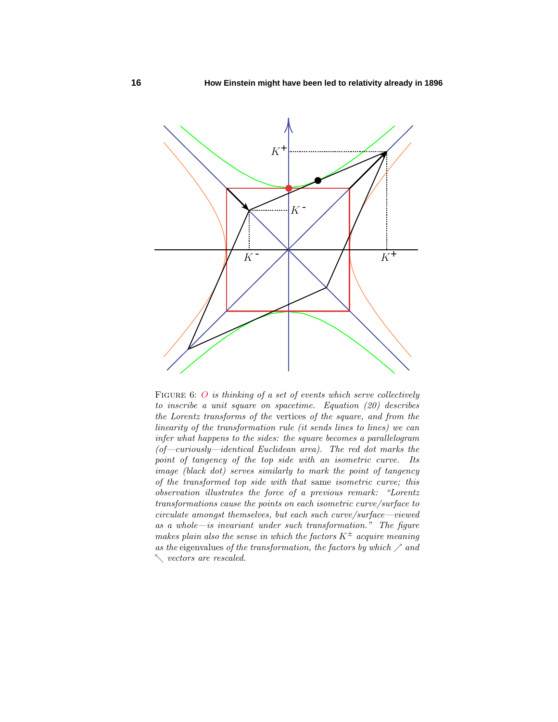

FIGURE 6: *O* is thinking of a set of events which serve collectively to inscribe a unit square on spacetime. Equation (20) describes the Lorentz transforms of the vertices of the square, and from the linearity of the transformation rule (it sends lines to lines) we can infer what happens to the sides: the square becomes a parallelogram  $(of—curiously—identical Euclidean area)$ . The red dot marks the point of tangency of the top side with an isometric curve. Its  $image$  (black  $dot$ ) serves similarly to mark the point of tangency of the transformed top side with that same isometric curve; this observation illustrates the force of a previous remark: "Lorentz transformations cause the points on each isometric curve/surface to circulate amongst themselves, but each such curve/surface—viewed as a whole—is invariant under such transformation." The figure makes plain also the sense in which the factors  $K^{\pm}$  acquire meaning as the eigenvalues of the transformation, the factors by which  $\nearrow$  and vectors are rescaled.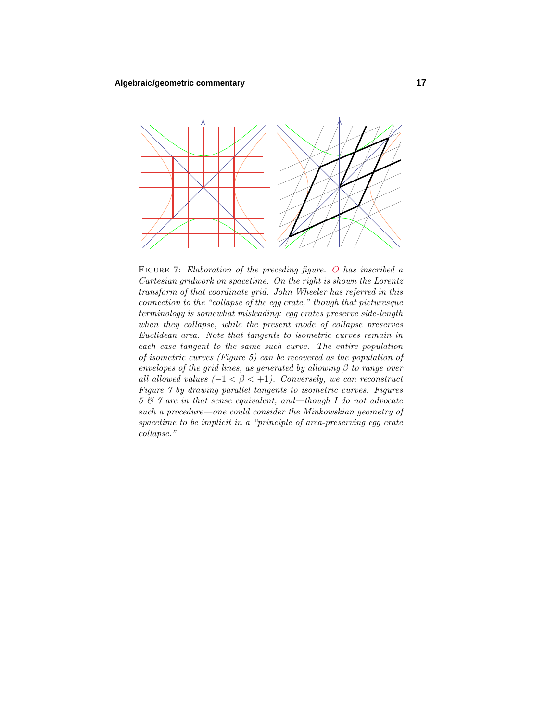

Figure 7: Elaboration of the preceding figure. *O* has inscribed a Cartesian gridwork on spacetime. On the right is shown the Lorentz transform of that coordinate grid. John Wheeler has referred in this connection to the "collapse of the egg crate," though that picturesque terminology is somewhat misleading: egg crates preserve side-length when they collapse, while the present mode of collapse preserves Euclidean area. Note that tangents to isometric curves remain in each case tangent to the same such curve. The entire population of isometric curves (Figure 5) can be recovered as the population of envelopes of the grid lines, as generated by allowing  $\beta$  to range over all allowed values  $(-1 < \beta < +1)$ . Conversely, we can reconstruct Figure  $\gamma$  by drawing parallel tangents to isometric curves. Figures 5 & 7 are in that sense equivalent, and—though I do not advocate such a procedure—one could consider the Minkowskian geometryof spacetime to be implicit in a "principle of area-preserving egg crate collapse."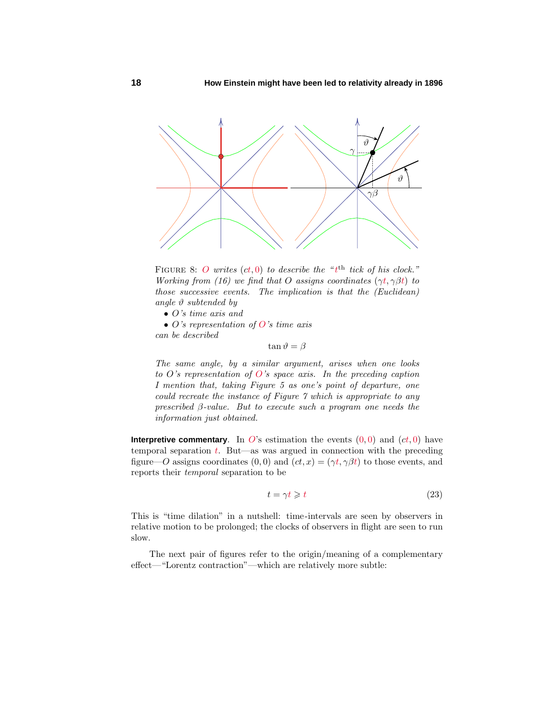

FIGURE 8: O writes  $(ct, 0)$  to describe the " $t<sup>th</sup>$  tick of his clock." Working from (16) we find that *O* assigns coordinates (*γt, γβt*) to those successive events. The implication is that the (Euclidean) angle *ϑ* subtended by

• *O*'s time axis and

• *O*'s representation of *O*'s time axis

can be described

tan  $\vartheta = \beta$ 

The same angle, by a similar argument, arises when one looks to *O*'s representation of *O*'s space axis. In the preceding caption I mention that, taking Figure 5 as one's point of departure, one could recreate the instance of Figure 7 which is appropriate to any prescribed *β*-value. But to execute such a program one needs the information just obtained.

**Interpretive commentary**. In *O*'s estimation the events  $(0,0)$  and  $(ct, 0)$  have temporal separation *t*. But—as was argued in connection with the preceding figure—*O* assigns coordinates  $(0,0)$  and  $(ct, x) = (\gamma t, \gamma \beta t)$  to those events, and reports their temporal separation to be

$$
t = \gamma t \geqslant t \tag{23}
$$

This is "time dilation" in a nutshell: time-intervals are seen by observers in relative motion to be prolonged; the clocks of observers in flight are seen to run slow.

The next pair of figures refer to the origin/meaning of a complementary effect—"Lorentz contraction"—which are relatively more subtle: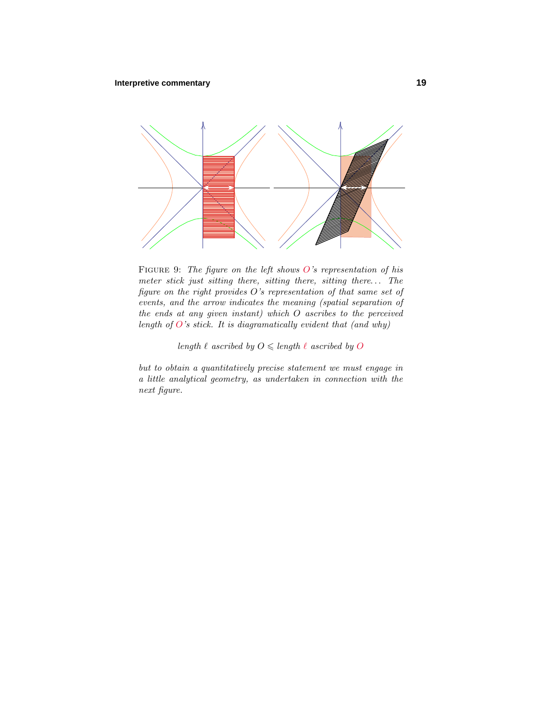

Figure 9: The figure on the left shows *O*'s representation of his meter stick just sitting there, sitting there, sitting there*...* The figure on the right provides *O*'s representation of that same set of events, and the arrow indicates the meaning (spatial separation of the ends at anygiven instant) which *O* ascribes to the perceived length of  $O$ 's stick. It is diagramatically evident that (and why)

 $length \ell$  ascribed by  $O \leqslant length \ell$  ascribed by  $O$ 

but to obtain a quantitatively precise statement we must engage in a little analytical geometry, as undertaken in connection with the next figure.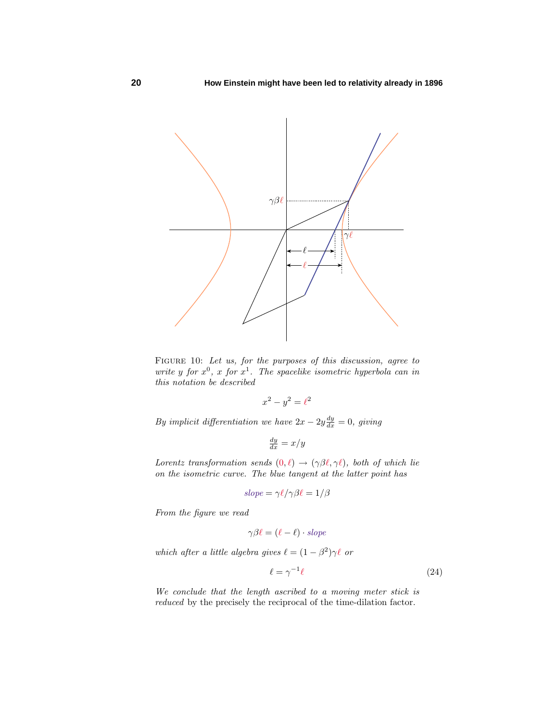

FIGURE 10: Let us, for the purposes of this discussion, agree to write *y* for  $x^0$ , *x* for  $x^1$ . The spacelike isometric hyperbola can in this notation be described

$$
x^2 - y^2 = \ell^2
$$

By implicit differentiation we have  $2x - 2y \frac{dy}{dx} = 0$ , giving

$$
\frac{dy}{dx} = x/y
$$

Lorentz transformation sends  $(0, \ell) \rightarrow (\gamma \beta \ell, \gamma \ell)$ , both of which lie on the isometric curve. The blue tangent at the latter point has

$$
slope = \gamma \ell / \gamma \beta \ell = 1/\beta
$$

From the figure we read

$$
\gamma \beta \ell = (\ell - \ell) \cdot slope
$$

which after a little algebra gives  $\ell = (1 - \beta^2)\gamma \ell$  or

$$
\ell = \gamma^{-1} \ell \tag{24}
$$

We conclude that the length ascribed to a moving meter stick is reduced by the precisely the reciprocal of the time-dilation factor.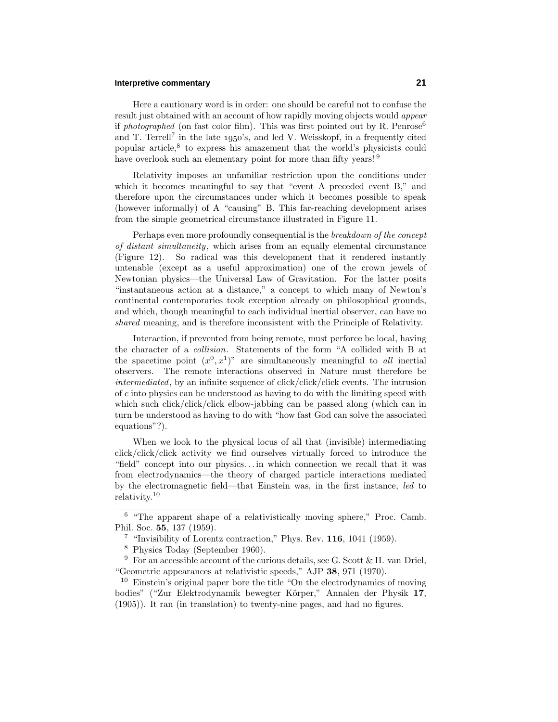# **Interpretive commentary 21**

Here a cautionary word is in order: one should be careful not to confuse the result just obtained with an account of how rapidly moving objects would appear if photographed (on fast color film). This was first pointed out by R. Penrose<sup>6</sup> and T. Terrell<sup>7</sup> in the late  $1950$ 's, and led V. Weisskopf, in a frequently cited popular article, $8$  to express his amazement that the world's physicists could have overlook such an elementary point for more than fifty years!<sup>9</sup>

Relativity imposes an unfamiliar restriction upon the conditions under which it becomes meaningful to say that "event A preceded event B," and therefore upon the circumstances under which it becomes possible to speak (however informally) of A "causing" B. This far-reaching development arises from the simple geometrical circumstance illustrated in Figure 11.

Perhaps even more profoundly consequential is the breakdown of the concept of distant simultaneity, which arises from an equally elemental circumstance (Figure 12). So radical was this development that it rendered instantly untenable (except as a useful approximation) one of the crown jewels of Newtonian physics—the Universal Law of Gravitation. For the latter posits "instantaneous action at a distance," a concept to which many of Newton's continental contemporaries took exception already on philosophical grounds, and which, though meaningful to each individual inertial observer, can have no shared meaning, and is therefore inconsistent with the Principle of Relativity.

Interaction, if prevented from being remote, must perforce be local, having the character of a collision. Statements of the form "A collided with B at the spacetime point  $(x^0, x^1)$ " are simultaneously meaningful to all inertial observers. The remote interactions observed in Nature must therefore be intermediated, by an infinite sequence of click/click/click events. The intrusion of *c* into physics can be understood as having to do with the limiting speed with which such click/click/click elbow-jabbing can be passed along (which can in turn be understood as having to do with "how fast God can solve the associated equations"?).

When we look to the physical locus of all that (invisible) intermediating click/click/click activity we find ourselves virtually forced to introduce the "field" concept into our physics*...* in which connection we recall that it was from electrodynamics—the theory of charged particle interactions mediated by the electromagnetic field—that Einstein was, in the first instance, led to relativity.<sup>10</sup>

<sup>6</sup> "The apparent shape of a relativistically moving sphere," Proc. Camb. Phil. Soc. **55**, 137 (1959).

<sup>7</sup> "Invisibility of Lorentz contraction," Phys. Rev. **116**, 1041 (1959).

<sup>8</sup> Physics Today (September 1960).

<sup>&</sup>lt;sup>9</sup> For an accessible account of the curious details, see G. Scott & H. van Driel, "Geometric appearances at relativistic speeds," AJP **38**, 971 (1970).

 $10$  Einstein's original paper bore the title "On the electrodynamics of moving bodies" ("Zur Elektrodynamik bewegter Körper," Annalen der Physik 17, (1905)). It ran (in translation) to twenty-nine pages, and had no figures.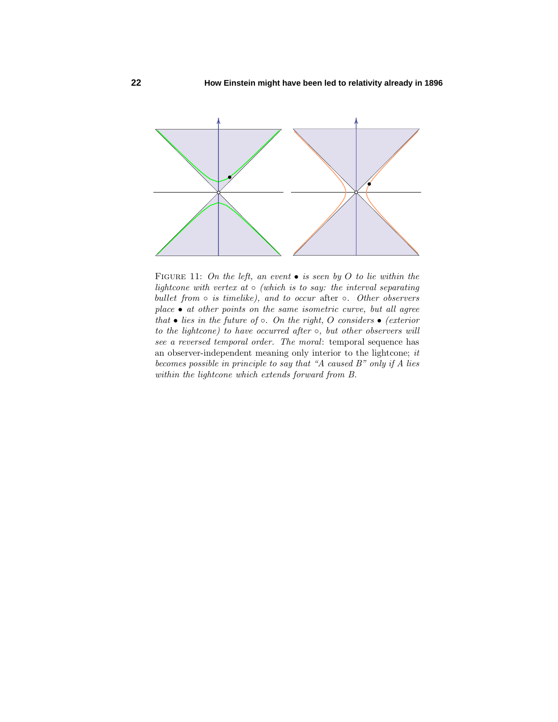

Figure 11: On the left, an event • is seen by *<sup>O</sup>* to lie within the lightcone with vertex at  $\circ$  (which is to say: the interval separating *bullet* from ∘ *is timelike*), and to occur after ∘. Other observers place • at other points on the same isometric curve, but all agree that  $\bullet$  lies in the future of  $\circ$ . On the right, O considers  $\bullet$  (exterior to the lightcone) to have occurred after  $\circ$ , but other observers will see a reversed temporal order. The moral: temporal sequence has an observer-independent meaning only interior to the lightcone; it becomes possible in principle to say that "A caused  $B$ " only if A lies within the lightcone which extends forward from B.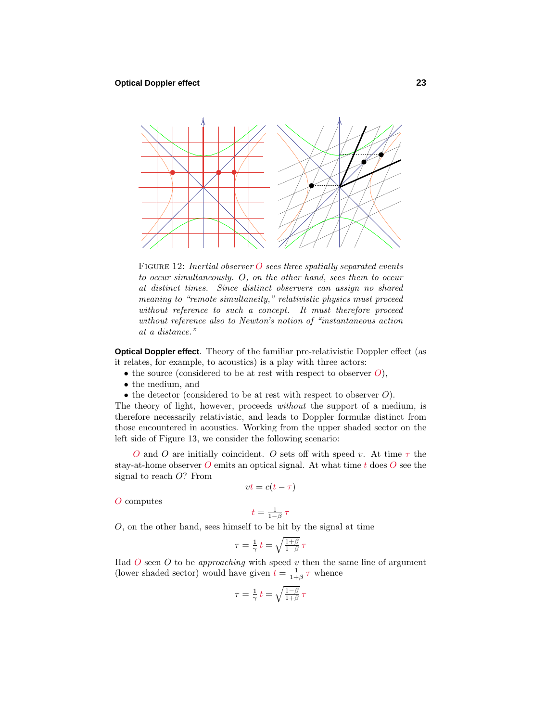

FIGURE 12: Inertial observer  $O$  sees three spatially separated events to occur simultaneously. *O*, on the other hand, sees them to occur at distinct times. Since distinct observers can assign no shared meaning to "remote simultaneity," relativistic physics must proceed without reference to such a concept. It must therefore proceed without reference also to Newton's notion of "instantaneous action at a distance."

**Optical Doppler effect**. Theory of the familiar pre-relativistic Doppler effect (as it relates, for example, to acoustics) is a play with three actors:

- the source (considered to be at rest with respect to observer  $O$ ),
- the medium, and
- the detector (considered to be at rest with respect to observer *O*).

The theory of light, however, proceeds without the support of a medium, is therefore necessarily relativistic, and leads to Doppler formulæ distinct from those encountered in acoustics. Working from the upper shaded sector on the left side of Figure 13, we consider the following scenario:

*O* and *O* are initially coincident. *O* sets off with speed *v*. At time *τ* the stay-at-home observer *O* emits an optical signal. At what time *t* does *O* see the signal to reach *O*? From

$$
vt = c(t - \tau)
$$

*O* computes

$$
t=\tfrac{1}{1-\beta}\,\tau
$$

*O*, on the other hand, sees himself to be hit by the signal at time

$$
\tau = \frac{1}{\gamma} t = \sqrt{\frac{1+\beta}{1-\beta}} \,\tau
$$

Had *O* seen *O* to be approaching with speed *v* then the same line of argument (lower shaded sector) would have given  $t = \frac{1}{1+\beta} \tau$  whence

$$
\tau = \tfrac{1}{\gamma}\,t = \sqrt{\tfrac{1-\beta}{1+\beta}}\,\tau
$$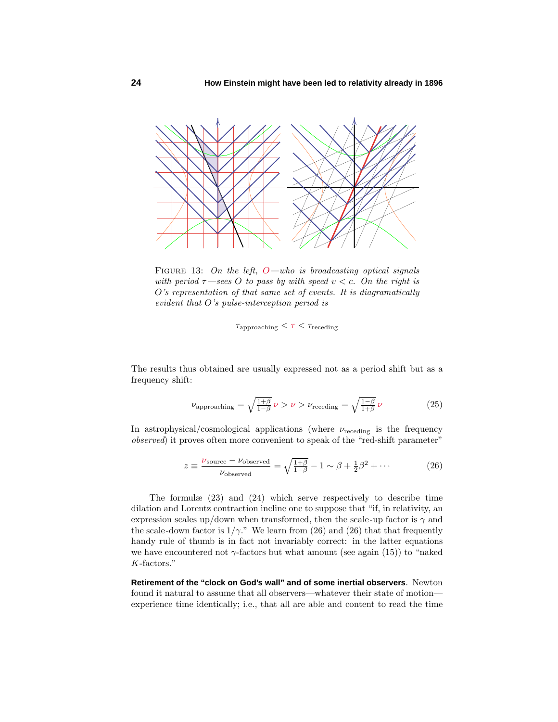

FIGURE 13: On the left, O—who is broadcasting optical signals with period  $\tau$ —sees O to pass by with speed  $v < c$ . On the right is *O*'s representation of that same set of events. It is diagramatically evident that *O*'s pulse-interception period is

 $\tau_{\text{approaching}} < \tau < \tau_{\text{receding}}$ 

The results thus obtained are usually expressed not as a period shift but as a frequency shift:

$$
\nu_{\text{approaching}} = \sqrt{\frac{1+\beta}{1-\beta}} \nu > \nu > \nu_{\text{receding}} = \sqrt{\frac{1-\beta}{1+\beta}} \nu \tag{25}
$$

In astrophysical/cosmological applications (where *ν*receding is the frequency observed) it proves often more convenient to speak of the "red-shift parameter"

$$
z \equiv \frac{\nu_{\text{source}} - \nu_{\text{observed}}}{\nu_{\text{observed}}} = \sqrt{\frac{1+\beta}{1-\beta}} - 1 \sim \beta + \frac{1}{2}\beta^2 + \cdots
$$
 (26)

The formulæ (23) and (24) which serve respectively to describe time dilation and Lorentz contraction incline one to suppose that "if, in relativity, an expression scales up/down when transformed, then the scale-up factor is  $\gamma$  and the scale-down factor is  $1/\gamma$ ." We learn from (26) and (26) that that frequently handy rule of thumb is in fact not invariably correct: in the latter equations we have encountered not  $\gamma$ -factors but what amount (see again (15)) to "naked *K*-factors."

**Retirement of the "clock on God's wall" and of some inertial observers**. Newton found it natural to assume that all observers—whatever their state of motion experience time identically; i.e., that all are able and content to read the time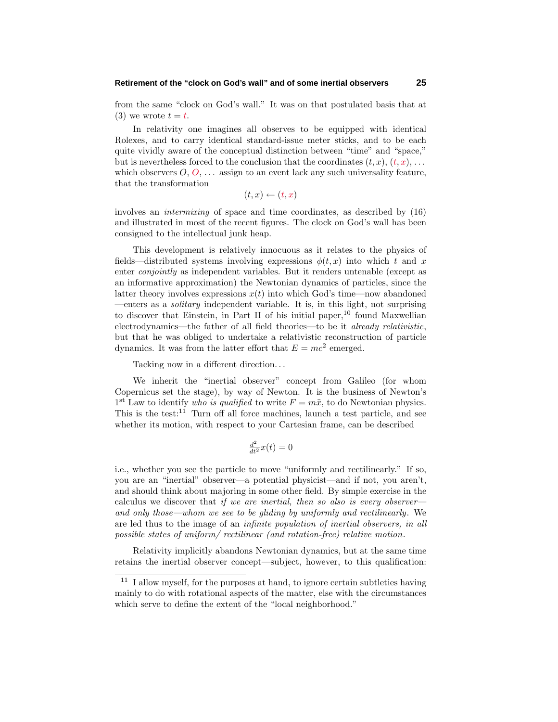#### **Retirement of the "clock on God's wall" and of some inertial observers 25**

from the same "clock on God's wall." It was on that postulated basis that at  $(3)$  we wrote  $t = t$ .

In relativity one imagines all observes to be equipped with identical Rolexes, and to carry identical standard-issue meter sticks, and to be each quite vividly aware of the conceptual distinction between "time" and "space," but is nevertheless forced to the conclusion that the coordinates  $(t, x), (t, x), \ldots$ which observers  $O, O, \ldots$  assign to an event lack any such universality feature, that the transformation

$$
(t,x) \leftarrow (t,x)
$$

involves an intermixing of space and time coordinates, as described by (16) and illustrated in most of the recent figures. The clock on God's wall has been consigned to the intellectual junk heap.

This development is relatively innocuous as it relates to the physics of fields—distributed systems involving expressions  $\phi(t, x)$  into which *t* and *x* enter conjointly as independent variables. But it renders untenable (except as an informative approximation) the Newtonian dynamics of particles, since the latter theory involves expressions  $x(t)$  into which God's time—now abandoned —enters as a solitary independent variable. It is, in this light, not surprising to discover that Einstein, in Part II of his initial paper,  $10$  found Maxwellian electrodynamics—the father of all field theories—to be it *already relativistic*, but that he was obliged to undertake a relativistic reconstruction of particle dynamics. It was from the latter effort that  $E = mc^2$  emerged.

Tacking now in a different direction*...*

We inherit the "inertial observer" concept from Galileo (for whom Copernicus set the stage), by way of Newton. It is the business of Newton's 1<sup>st</sup> Law to identify *who is qualified* to write  $F = m\ddot{x}$ , to do Newtonian physics. This is the test: $11$  Turn off all force machines, launch a test particle, and see whether its motion, with respect to your Cartesian frame, can be described

$$
\frac{d^2}{dt^2}x(t) = 0
$$

i.e., whether you see the particle to move "uniformly and rectilinearly." If so, you are an "inertial" observer—a potential physicist—and if not, you aren't, and should think about majoring in some other field. By simple exercise in the calculus we discover that if we are inertial, then so also is every observer and only those—whom we see to be gliding by uniformly and rectilinearly. We are led thus to the image of an infinite population of inertial observers, in all possible states of uniform/ rectilinear (and rotation-free) relative motion.

Relativity implicitly abandons Newtonian dynamics, but at the same time retains the inertial observer concept—subject, however, to this qualification:

 $11$  I allow myself, for the purposes at hand, to ignore certain subtleties having mainly to do with rotational aspects of the matter, else with the circumstances which serve to define the extent of the "local neighborhood."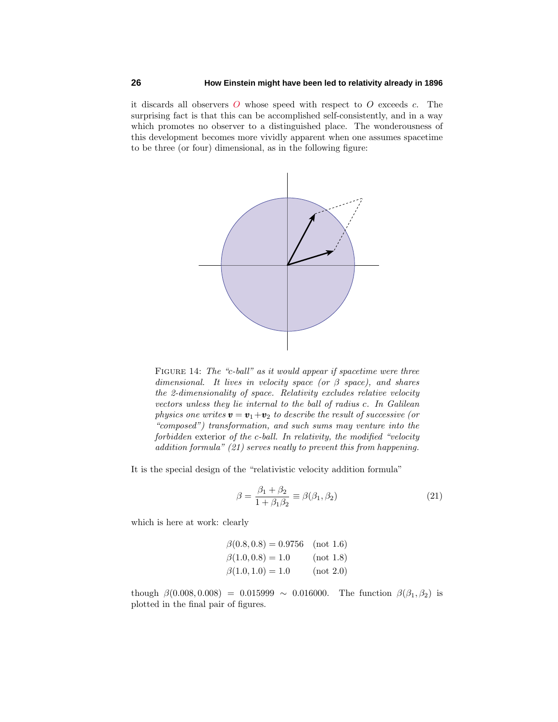it discards all observers *O* whose speed with respect to *O* exceeds *c*. The surprising fact is that this can be accomplished self-consistently, and in a way which promotes no observer to a distinguished place. The wonderousness of this development becomes more vividly apparent when one assumes spacetime to be three (or four) dimensional, as in the following figure:



FIGURE 14: The "c-ball" as it would appear if spacetime were three dimensional. It lives in velocity space (or *β* space), and shares the 2-dimensionality of space. Relativity excludes relative velocity vectors unless they lie internal to the ball of radius *c*. In Galilean physics one writes  $\mathbf{v} = \mathbf{v}_1 + \mathbf{v}_2$  to describe the result of successive (or "composed") transformation, and such sums may venture into the forbidden exterior of the *c*-ball. In relativity, the modified "velocity addition formula"  $(21)$  serves neatly to prevent this from happening.

It is the special design of the "relativistic velocity addition formula"

$$
\beta = \frac{\beta_1 + \beta_2}{1 + \beta_1 \beta_2} \equiv \beta(\beta_1, \beta_2) \tag{21}
$$

which is here at work: clearly

$$
\beta(0.8, 0.8) = 0.9756 \quad \text{(not 1.6)}
$$
  

$$
\beta(1.0, 0.8) = 1.0 \quad \text{(not 1.8)}
$$
  

$$
\beta(1.0, 1.0) = 1.0 \quad \text{(not 2.0)}
$$

though  $\beta(0.008, 0.008) = 0.015999 \sim 0.016000$ . The function  $\beta(\beta_1, \beta_2)$  is plotted in the final pair of figures.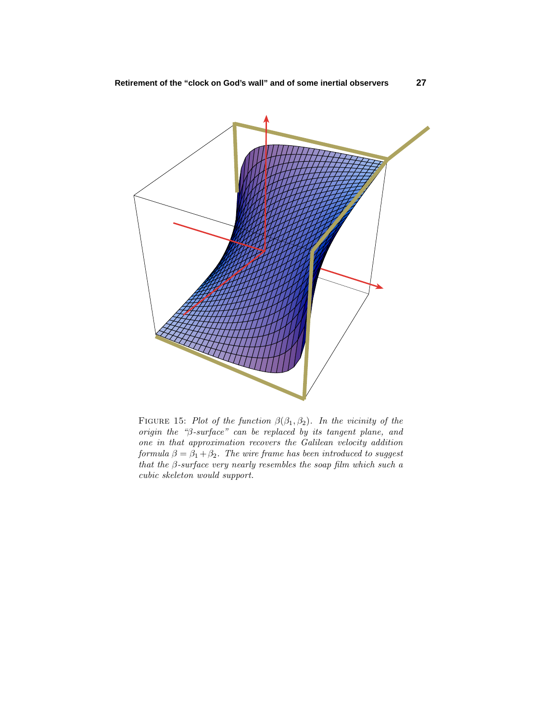

FIGURE 15: Plot of the function  $\beta(\beta_1, \beta_2)$ . In the vicinity of the origin the "β-surface" can be replaced by its tangent plane, and one in that approximation recovers the Galilean velocity addition formula  $\beta = \beta_1 + \beta_2$ . The wire frame has been introduced to suggest that the  $\beta$ -surface very nearly resembles the soap film which such a cubic skeleton would support.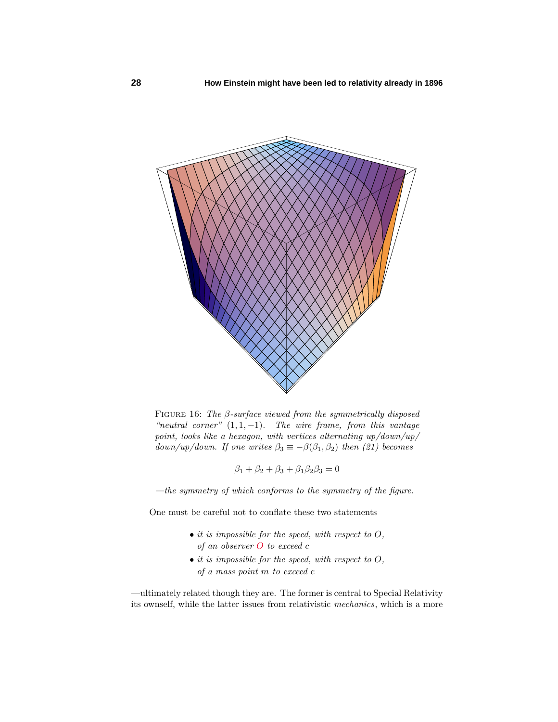

Figure 16: The *β*-surface viewed from the symmetrically disposed "neutral corner"  $(1, 1, -1)$ . The wire frame, from this vantage point, looks like a hexagon, with vertices alternating up/down/up/  $down/up/down.$  If one writes  $\beta_3 \equiv -\beta(\beta_1, \beta_2)$  then (21) becomes

*β*<sub>1</sub> + *β*<sub>2</sub> + *β*<sub>3</sub> + *β*<sub>1</sub>*β*<sub>2</sub>*β*<sub>3</sub> = 0

—the symmetry of which conforms to the symmetry of the figure.

One must be careful not to conflate these two statements

- it is impossible for the speed, with respect to *O*, of an observer *O* to exceed *c*
- it is impossible for the speed, with respect to *O*, of a mass point *m* to exceed *c*

—ultimately related though they are. The former is central to Special Relativity its ownself, while the latter issues from relativistic mechanics, which is a more